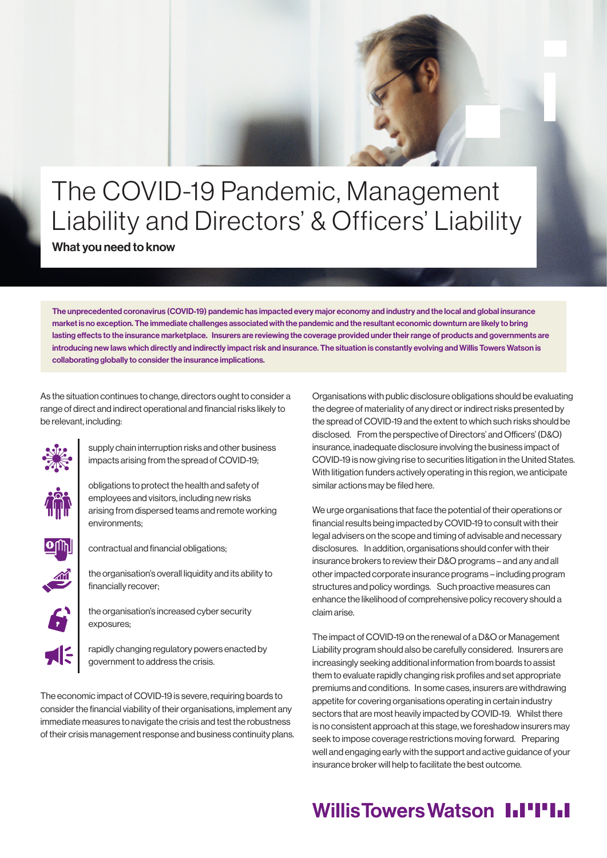# The COVID-19 Pandemic, Management Liability and Directors' & Officers' Liability What you need to know

The unprecedented coronavirus (COVID-19) pandemic has impacted every major economy and industry and the local and global insurance market is no exception. The immediate challenges associated with the pandemic and the resultant economic downturn are likely to bring lasting effects to the insurance marketplace. Insurers are reviewing the coverage provided under their range of products and governments are introducing new laws which directly and indirectly impact risk and insurance. The situation is constantly evolving and Willis Towers Watson is collaborating globally to consider the insurance implications.

As the situation continues to change, directors ought to consider a range of direct and indirect operational and financial risks likely to be relevant, including:



supply chain interruption risks and other business impacts arising from the spread of COVID-19;

obligations to protect the health and safety of employees and visitors, including new risks arising from dispersed teams and remote working environments;

contractual and financial obligations;

the organisation's overall liquidity and its ability to financially recover;

the organisation's increased cyber security exposures;

rapidly changing regulatory powers enacted by government to address the crisis.

The economic impact of COVID-19 is severe, requiring boards to consider the financial viability of their organisations, implement any immediate measures to navigate the crisis and test the robustness of their crisis management response and business continuity plans. Organisations with public disclosure obligations should be evaluating the degree of materiality of any direct or indirect risks presented by the spread of COVID-19 and the extent to which such risks should be disclosed. From the perspective of Directors' and Officers' (D&O) insurance, inadequate disclosure involving the business impact of COVID-19 is now giving rise to securities litigation in the United States. With litigation funders actively operating in this region, we anticipate similar actions may be filed here.

We urge organisations that face the potential of their operations or financial results being impacted by COVID-19 to consult with their legal advisers on the scope and timing of advisable and necessary disclosures. In addition, organisations should confer with their insurance brokers to review their D&O programs – and any and all other impacted corporate insurance programs – including program structures and policy wordings. Such proactive measures can enhance the likelihood of comprehensive policy recovery should a claim arise.

The impact of COVID-19 on the renewal of a D&O or Management Liability program should also be carefully considered. Insurers are increasingly seeking additional information from boards to assist them to evaluate rapidly changing risk profiles and set appropriate premiums and conditions. In some cases, insurers are withdrawing appetite for covering organisations operating in certain industry sectors that are most heavily impacted by COVID-19. Whilst there is no consistent approach at this stage, we foreshadow insurers may seek to impose coverage restrictions moving forward. Preparing well and engaging early with the support and active guidance of your insurance broker will help to facilitate the best outcome.

## **Willis Towers Watson I.I'I'I.I**